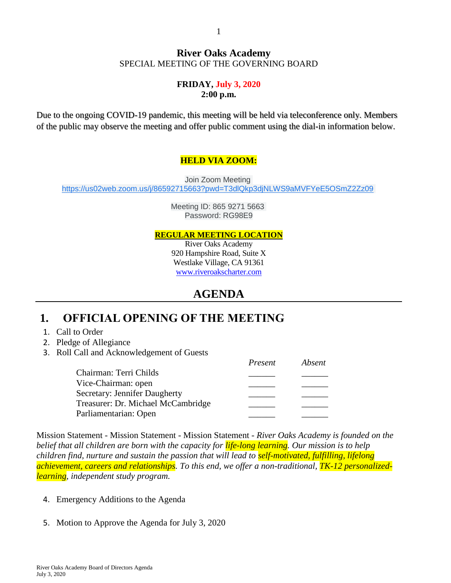#### **River Oaks Academy** SPECIAL MEETING OF THE GOVERNING BOARD

#### **FRIDAY, July 3, 2020 2:00 p.m.**

Due to the ongoing COVID-19 pandemic, this meeting will be held via teleconference only. Members of the public may observe the meeting and offer public comment using the dial-in information below.

#### **HELD VIA ZOOM:**

Join Zoom Meeting [https://us02web.zoom.us/j/86592715663?pwd=T3dlQkp3djNLWS9aMVFYeE5OSmZ2Zz09](https://www.google.com/url?q=https://us02web.zoom.us/j/86592715663?pwd%3DT3dlQkp3djNLWS9aMVFYeE5OSmZ2Zz09&sa=D&source=calendar&ust=1593692281184000&usg=AOvVaw0RcdWzeUVyRUJa3OVSpCyG)

> Meeting ID: 865 9271 5663 Password: RG98E9

#### **REGULAR MEETING LOCATION**

River Oaks Academy 920 Hampshire Road, Suite X Westlake Village, CA 91361 [www.riveroakscharter.com](http://www.riveroakscharter.com/)

### **AGENDA**

### **1. OFFICIAL OPENING OF THE MEETING**

- 1. Call to Order
- 2. Pledge of Allegiance
- 3. Roll Call and Acknowledgement of Guests

|                                      | Present | Absent |
|--------------------------------------|---------|--------|
| Chairman: Terri Childs               |         |        |
| Vice-Chairman: open                  |         |        |
| <b>Secretary: Jennifer Daugherty</b> |         |        |
| Treasurer: Dr. Michael McCambridge   |         |        |
| Parliamentarian: Open                |         |        |

Mission Statement - Mission Statement - Mission Statement - *River Oaks Academy is founded on the belief that all children are born with the capacity for life-long learning. Our mission is to help children find, nurture and sustain the passion that will lead to self-motivated, fulfilling, lifelong achievement, careers and relationships. To this end, we offer a non-traditional, TK-12 personalizedlearning, independent study program.*

- 4. Emergency Additions to the Agenda
- 5. Motion to Approve the Agenda for July 3, 2020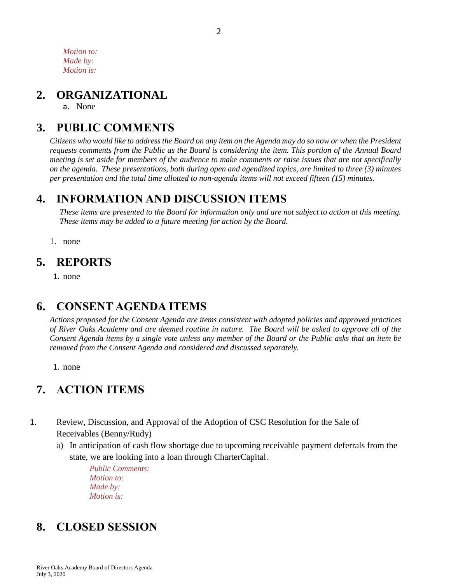*Motion to: Made by: Motion is:*

### **2. ORGANIZATIONAL**

a. None

# **3. PUBLIC COMMENTS**

*Citizens who would like to address the Board on any item on the Agenda may do so now or when the President requests comments from the Public as the Board is considering the item. This portion of the Annual Board meeting is set aside for members of the audience to make comments or raise issues that are not specifically on the agenda. These presentations, both during open and agendized topics, are limited to three (3) minutes per presentation and the total time allotted to non-agenda items will not exceed fifteen (15) minutes.*

## **4. INFORMATION AND DISCUSSION ITEMS**

*These items are presented to the Board for information only and are not subject to action at this meeting. These items may be added to a future meeting for action by the Board.*

1. none

### **5. REPORTS**

1. none

# **6. CONSENT AGENDA ITEMS**

*Actions proposed for the Consent Agenda are items consistent with adopted policies and approved practices of River Oaks Academy and are deemed routine in nature. The Board will be asked to approve all of the Consent Agenda items by a single vote unless any member of the Board or the Public asks that an item be removed from the Consent Agenda and considered and discussed separately.*

1. none

# **7. ACTION ITEMS**

- 1. Review, Discussion, and Approval of the Adoption of CSC Resolution for the Sale of Receivables (Benny/Rudy)
	- a) In anticipation of cash flow shortage due to upcoming receivable payment deferrals from the state, we are looking into a loan through CharterCapital.

*Public Comments: Motion to: Made by: Motion is:*

# **8. CLOSED SESSION**